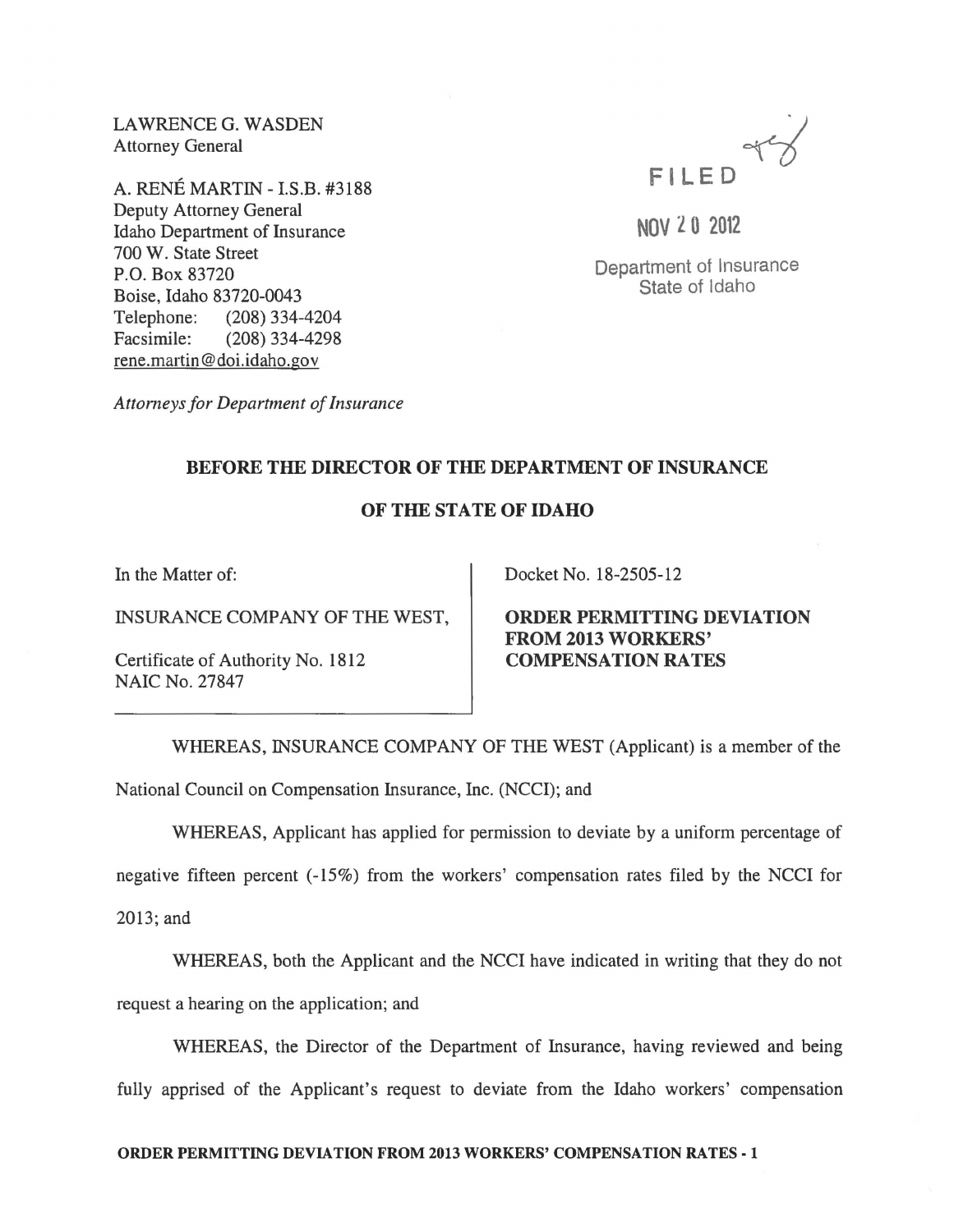LAWRENCEG. WASDEN Attorney General

A. RENE MARTIN -I.S.B. #3188 Deputy Attorney General Idaho Department of Insurance 700 W. State Street P.O. Box 83720 Boise, Idaho 83720-0043 Telephone: (208) 334-4204 Facsimile: (208) 334-4298 rene.martin@doi.idaho.gov



NOV Z 0 2012

Department of Insurance State of Idaho

*Attorneys for Department of Insurance* 

## BEFORE THE DIRECTOR OF THE DEPARTMENT OF INSURANCE

## OF THE STATE OF IDAHO

In the Matter of:

INSURANCE COMPANY OF THE WEST,

Certificate of Authority No. 1812 NAIC No. 27847

Docket No. 18-2505-12

ORDER PERMITTING DEVIATION FROM 2013 WORKERS' COMPENSATION RATES

WHEREAS, INSURANCE COMPANY OF THE WEST (Applicant) is a member of the National Council on Compensation Insurance, Inc. (NCCI); and

WHEREAS, Applicant has applied for permission to deviate by a uniform percentage of negative fifteen percent (-15%) from the workers' compensation rates filed by the NCCI for

2013; and

WHEREAS, both the Applicant and the NCCI have indicated in writing that they do not request a hearing on the application; and

WHEREAS, the Director of the Department of Insurance, having reviewed and being fully apprised of the Applicant's request to deviate from the Idaho workers' compensation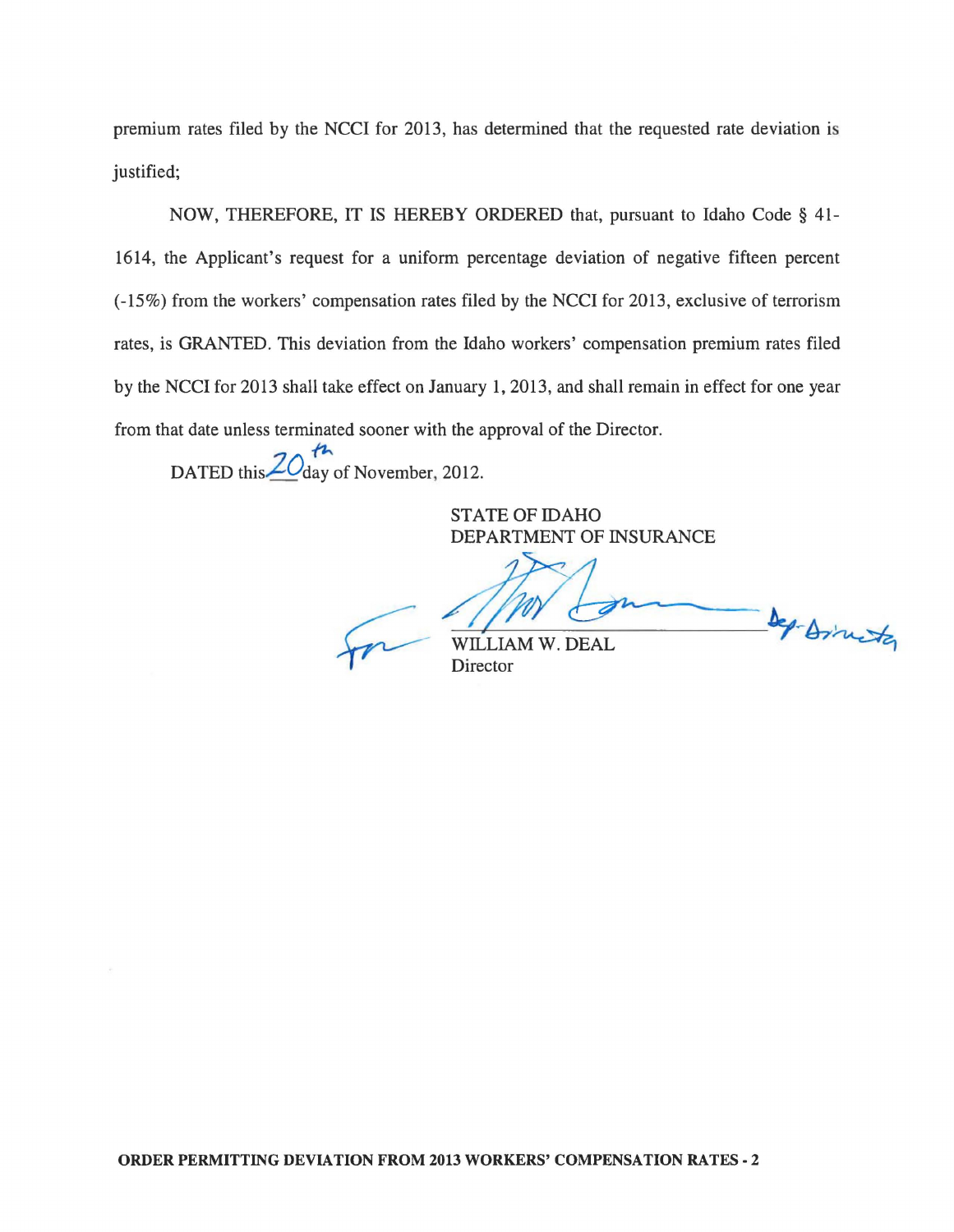premium rates filed by the NCCI for 2013, has determined that the requested rate deviation is justified;

NOW, THEREFORE, IT IS HEREBY ORDERED that, pursuant to Idaho Code § 41- 1614, the Applicant's request for a uniform percentage deviation of negative fifteen percent (-15%) from the workers' compensation rates filed by the NCCI for 2013, exclusive of terrorism rates, is GRANTED. This deviation from the Idaho workers' compensation premium rates filed by the NCCI for 2013 shall take effect on January 1,2013, and shall remain in effect for one year from that date unless terminated sooner with the approval of the Director.

DATED this  $201$  day of November, 2012.

STATE OF IDAHO DEPARTMENT OF INSURANCE

WILLIAM W. DEAL WILLIAM W. DEAL